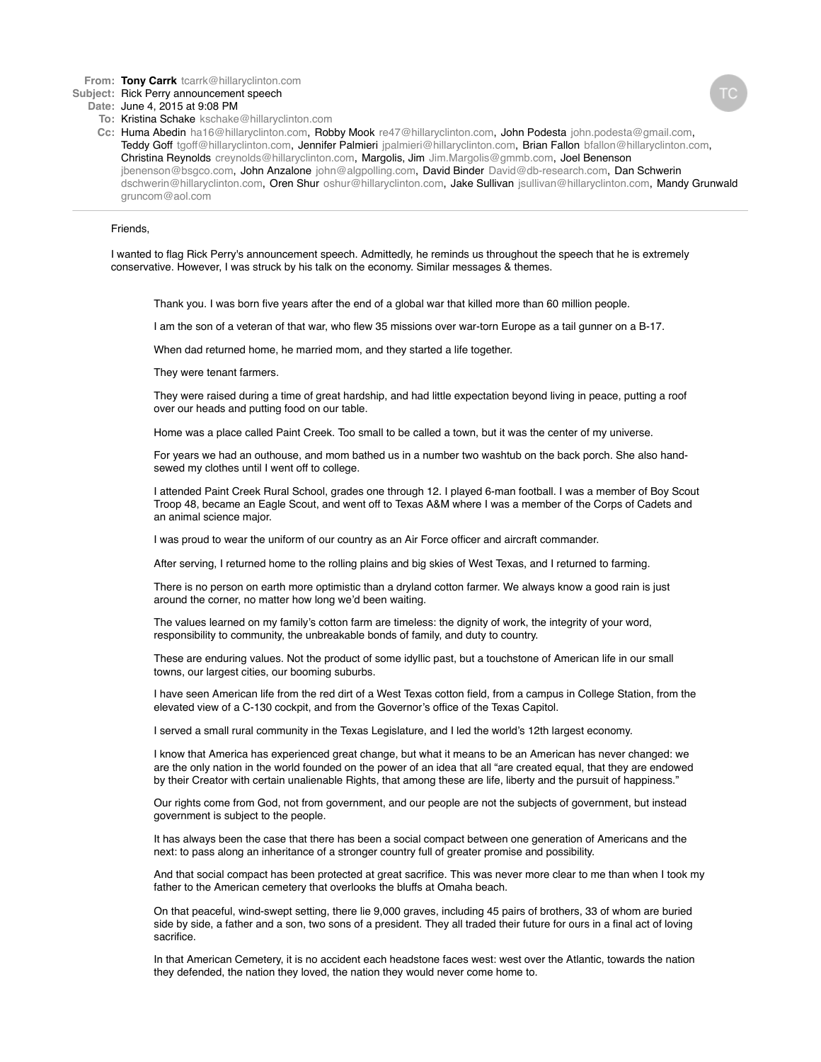## **From: Tony Carrk** tcarrk@hillaryclinton.com

## **Subject:** Rick Perry announcement speech

## **Date:** June 4, 2015 at 9:08 PM

- **To:** Kristina Schake kschake@hillaryclinton.com
- **Cc:** Huma Abedin ha16@hillaryclinton.com, Robby Mook re47@hillaryclinton.com, John Podesta john.podesta@gmail.com, Teddy Goff tgoff@hillaryclinton.com, Jennifer Palmieri jpalmieri@hillaryclinton.com, Brian Fallon bfallon@hillaryclinton.com, Christina Reynolds creynolds@hillaryclinton.com, Margolis, Jim Jim.Margolis@gmmb.com, Joel Benenson jbenenson@bsgco.com, John Anzalone john@algpolling.com, David Binder David@db-research.com, Dan Schwerin dschwerin@hillaryclinton.com, Oren Shur oshur@hillaryclinton.com, Jake Sullivan jsullivan@hillaryclinton.com, Mandy Grunwald gruncom@aol.com

## Friends,

I wanted to flag Rick Perry's announcement speech. Admittedly, he reminds us throughout the speech that he is extremely conservative. However, I was struck by his talk on the economy. Similar messages & themes.

Thank you. I was born five years after the end of a global war that killed more than 60 million people.

I am the son of a veteran of that war, who flew 35 missions over war-torn Europe as a tail gunner on a B-17.

When dad returned home, he married mom, and they started a life together.

They were tenant farmers.

They were raised during a time of great hardship, and had little expectation beyond living in peace, putting a roof over our heads and putting food on our table.

Home was a place called Paint Creek. Too small to be called a town, but it was the center of my universe.

For years we had an outhouse, and mom bathed us in a number two washtub on the back porch. She also handsewed my clothes until I went off to college.

I attended Paint Creek Rural School, grades one through 12. I played 6-man football. I was a member of Boy Scout Troop 48, became an Eagle Scout, and went off to Texas A&M where I was a member of the Corps of Cadets and an animal science major.

I was proud to wear the uniform of our country as an Air Force officer and aircraft commander.

After serving, I returned home to the rolling plains and big skies of West Texas, and I returned to farming.

There is no person on earth more optimistic than a dryland cotton farmer. We always know a good rain is just around the corner, no matter how long we'd been waiting.

The values learned on my family's cotton farm are timeless: the dignity of work, the integrity of your word, responsibility to community, the unbreakable bonds of family, and duty to country.

These are enduring values. Not the product of some idyllic past, but a touchstone of American life in our small towns, our largest cities, our booming suburbs.

I have seen American life from the red dirt of a West Texas cotton field, from a campus in College Station, from the elevated view of a C-130 cockpit, and from the Governor's office of the Texas Capitol.

I served a small rural community in the Texas Legislature, and I led the world's 12th largest economy.

I know that America has experienced great change, but what it means to be an American has never changed: we are the only nation in the world founded on the power of an idea that all "are created equal, that they are endowed by their Creator with certain unalienable Rights, that among these are life, liberty and the pursuit of happiness."

Our rights come from God, not from government, and our people are not the subjects of government, but instead government is subject to the people.

It has always been the case that there has been a social compact between one generation of Americans and the next: to pass along an inheritance of a stronger country full of greater promise and possibility.

And that social compact has been protected at great sacrifice. This was never more clear to me than when I took my father to the American cemetery that overlooks the bluffs at Omaha beach.

On that peaceful, wind-swept setting, there lie 9,000 graves, including 45 pairs of brothers, 33 of whom are buried side by side, a father and a son, two sons of a president. They all traded their future for ours in a final act of loving sacrifice.

In that American Cemetery, it is no accident each headstone faces west: west over the Atlantic, towards the nation they defended, the nation they loved, the nation they would never come home to.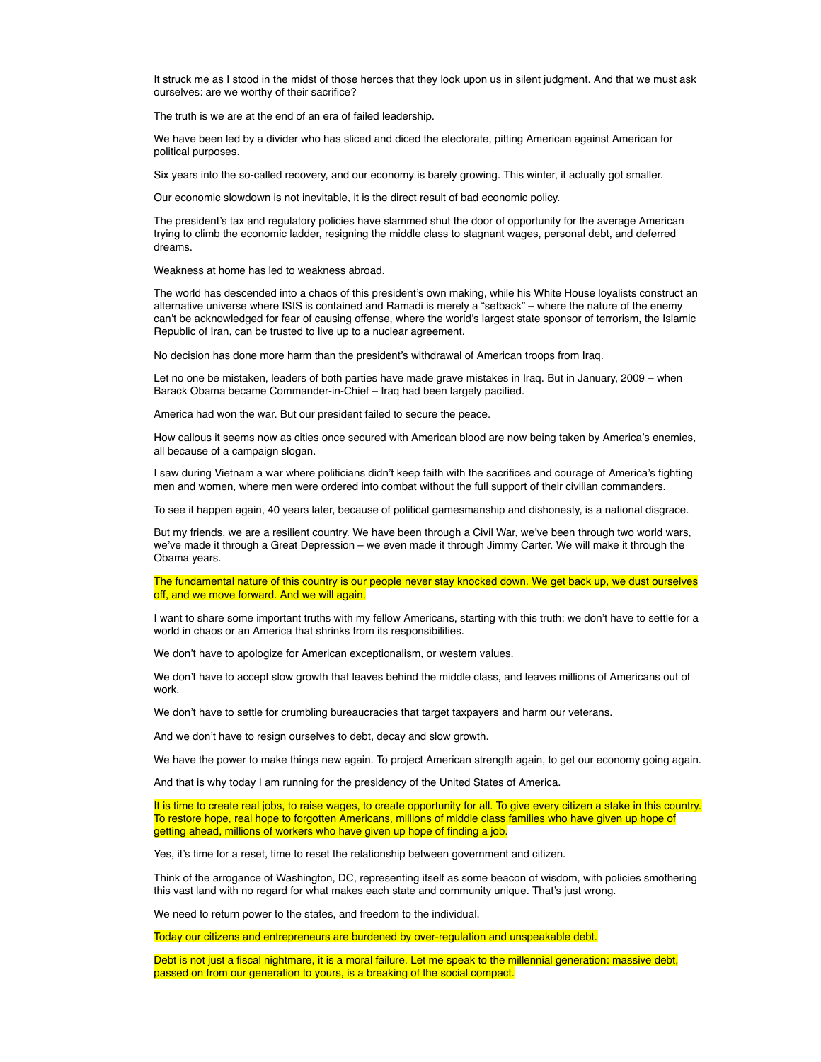It struck me as I stood in the midst of those heroes that they look upon us in silent judgment. And that we must ask ourselves: are we worthy of their sacrifice?

The truth is we are at the end of an era of failed leadership.

We have been led by a divider who has sliced and diced the electorate, pitting American against American for political purposes.

Six years into the so-called recovery, and our economy is barely growing. This winter, it actually got smaller.

Our economic slowdown is not inevitable, it is the direct result of bad economic policy.

The president's tax and regulatory policies have slammed shut the door of opportunity for the average American trying to climb the economic ladder, resigning the middle class to stagnant wages, personal debt, and deferred dreams.

Weakness at home has led to weakness abroad.

The world has descended into a chaos of this president's own making, while his White House loyalists construct an alternative universe where ISIS is contained and Ramadi is merely a "setback" – where the nature of the enemy can't be acknowledged for fear of causing offense, where the world's largest state sponsor of terrorism, the Islamic Republic of Iran, can be trusted to live up to a nuclear agreement.

No decision has done more harm than the president's withdrawal of American troops from Iraq.

Let no one be mistaken, leaders of both parties have made grave mistakes in Iraq. But in January, 2009 – when Barack Obama became Commander-in-Chief – Iraq had been largely pacified.

America had won the war. But our president failed to secure the peace.

How callous it seems now as cities once secured with American blood are now being taken by America's enemies, all because of a campaign slogan.

I saw during Vietnam a war where politicians didn't keep faith with the sacrifices and courage of America's fighting men and women, where men were ordered into combat without the full support of their civilian commanders.

To see it happen again, 40 years later, because of political gamesmanship and dishonesty, is a national disgrace.

But my friends, we are a resilient country. We have been through a Civil War, we've been through two world wars, we've made it through a Great Depression – we even made it through Jimmy Carter. We will make it through the Obama years.

The fundamental nature of this country is our people never stay knocked down. We get back up, we dust ourselves off, and we move forward. And we will again.

I want to share some important truths with my fellow Americans, starting with this truth: we don't have to settle for a world in chaos or an America that shrinks from its responsibilities.

We don't have to apologize for American exceptionalism, or western values.

We don't have to accept slow growth that leaves behind the middle class, and leaves millions of Americans out of work.

We don't have to settle for crumbling bureaucracies that target taxpayers and harm our veterans.

And we don't have to resign ourselves to debt, decay and slow growth.

We have the power to make things new again. To project American strength again, to get our economy going again.

And that is why today I am running for the presidency of the United States of America.

It is time to create real jobs, to raise wages, to create opportunity for all. To give every citizen a stake in this country. To restore hope, real hope to forgotten Americans, millions of middle class families who have given up hope of getting ahead, millions of workers who have given up hope of finding a job.

Yes, it's time for a reset, time to reset the relationship between government and citizen.

Think of the arrogance of Washington, DC, representing itself as some beacon of wisdom, with policies smothering this vast land with no regard for what makes each state and community unique. That's just wrong.

We need to return power to the states, and freedom to the individual.

Today our citizens and entrepreneurs are burdened by over-regulation and unspeakable debt.

Debt is not just a fiscal nightmare, it is a moral failure. Let me speak to the millennial generation: massive debt, passed on from our generation to yours, is a breaking of the social compact.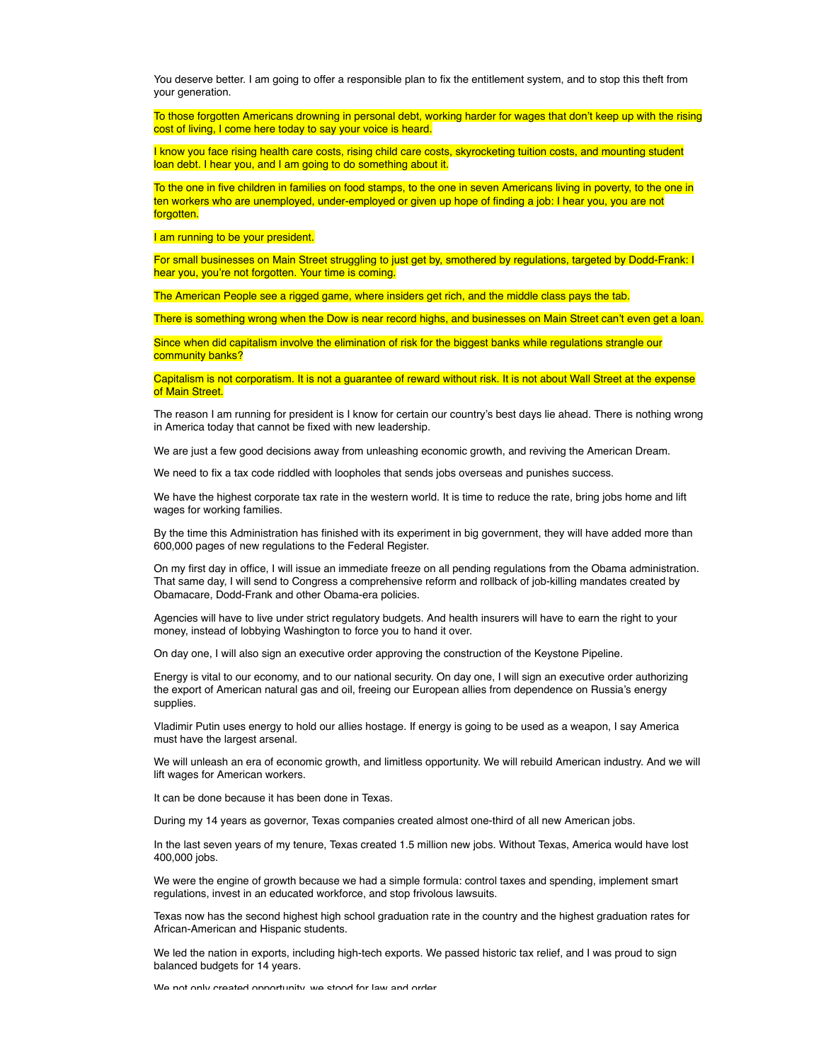You deserve better. I am going to offer a responsible plan to fix the entitlement system, and to stop this theft from your generation.

To those forgotten Americans drowning in personal debt, working harder for wages that don't keep up with the rising cost of living, I come here today to say your voice is heard.

I know you face rising health care costs, rising child care costs, skyrocketing tuition costs, and mounting student loan debt. I hear you, and I am going to do something about it.

To the one in five children in families on food stamps, to the one in seven Americans living in poverty, to the one in ten workers who are unemployed, under-employed or given up hope of finding a job: I hear you, you are not forgotten.

I am running to be your president.

For small businesses on Main Street struggling to just get by, smothered by regulations, targeted by Dodd-Frank: I hear you, you're not forgotten. Your time is coming.

The American People see a rigged game, where insiders get rich, and the middle class pays the tab.

There is something wrong when the Dow is near record highs, and businesses on Main Street can't even get a loan.

Since when did capitalism involve the elimination of risk for the biggest banks while regulations strangle our community banks?

Capitalism is not corporatism. It is not a guarantee of reward without risk. It is not about Wall Street at the expense of Main Street.

The reason I am running for president is I know for certain our country's best days lie ahead. There is nothing wrong in America today that cannot be fixed with new leadership.

We are just a few good decisions away from unleashing economic growth, and reviving the American Dream.

We need to fix a tax code riddled with loopholes that sends jobs overseas and punishes success.

We have the highest corporate tax rate in the western world. It is time to reduce the rate, bring jobs home and lift wages for working families.

By the time this Administration has finished with its experiment in big government, they will have added more than 600,000 pages of new regulations to the Federal Register.

On my first day in office, I will issue an immediate freeze on all pending regulations from the Obama administration. That same day, I will send to Congress a comprehensive reform and rollback of job-killing mandates created by Obamacare, Dodd-Frank and other Obama-era policies.

Agencies will have to live under strict regulatory budgets. And health insurers will have to earn the right to your money, instead of lobbying Washington to force you to hand it over.

On day one, I will also sign an executive order approving the construction of the Keystone Pipeline.

Energy is vital to our economy, and to our national security. On day one, I will sign an executive order authorizing the export of American natural gas and oil, freeing our European allies from dependence on Russia's energy supplies.

Vladimir Putin uses energy to hold our allies hostage. If energy is going to be used as a weapon, I say America must have the largest arsenal.

We will unleash an era of economic growth, and limitless opportunity. We will rebuild American industry. And we will lift wages for American workers.

It can be done because it has been done in Texas.

During my 14 years as governor, Texas companies created almost one-third of all new American jobs.

In the last seven years of my tenure, Texas created 1.5 million new jobs. Without Texas, America would have lost 400,000 jobs.

We were the engine of growth because we had a simple formula: control taxes and spending, implement smart regulations, invest in an educated workforce, and stop frivolous lawsuits.

Texas now has the second highest high school graduation rate in the country and the highest graduation rates for African-American and Hispanic students.

We led the nation in exports, including high-tech exports. We passed historic tax relief, and I was proud to sign balanced budgets for 14 years.

We not only created opportunity, we stood for law and order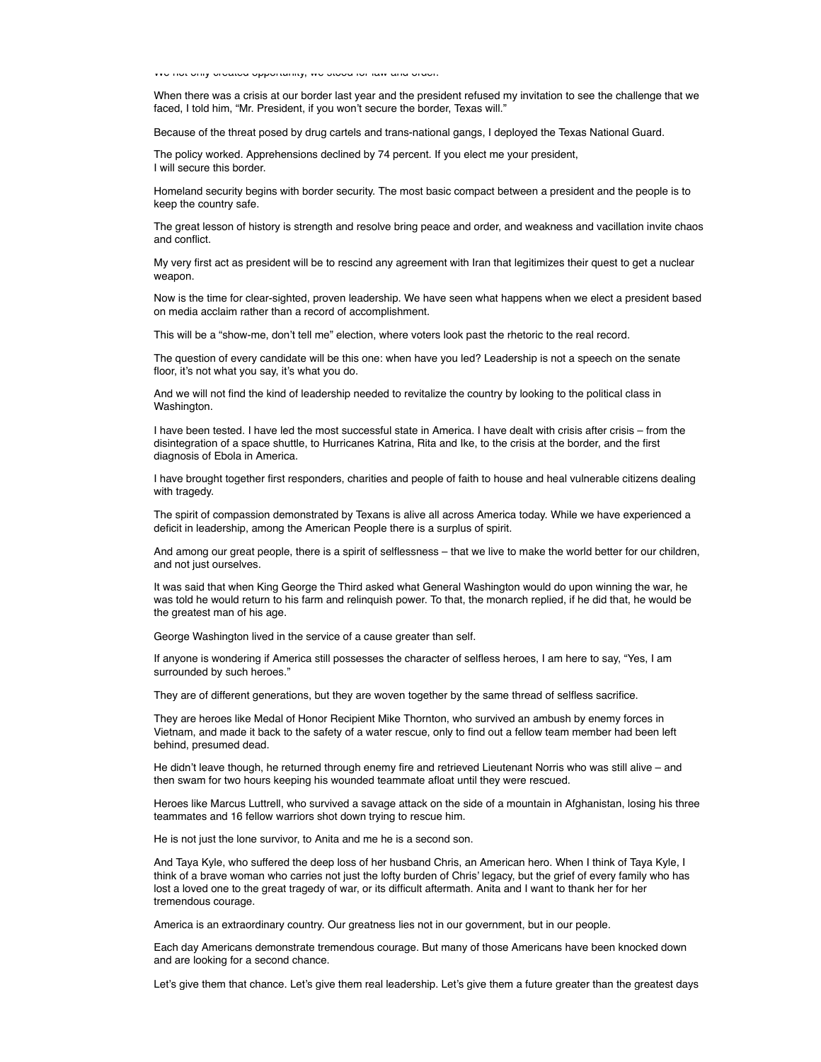We not only created opportunity, we stood for law and order.

When there was a crisis at our border last year and the president refused my invitation to see the challenge that we faced, I told him, "Mr. President, if you won't secure the border, Texas will."

Because of the threat posed by drug cartels and trans-national gangs, I deployed the Texas National Guard.

The policy worked. Apprehensions declined by 74 percent. If you elect me your president, I will secure this border.

Homeland security begins with border security. The most basic compact between a president and the people is to keep the country safe.

The great lesson of history is strength and resolve bring peace and order, and weakness and vacillation invite chaos and conflict.

My very first act as president will be to rescind any agreement with Iran that legitimizes their quest to get a nuclear weapon.

Now is the time for clear-sighted, proven leadership. We have seen what happens when we elect a president based on media acclaim rather than a record of accomplishment.

This will be a "show-me, don't tell me" election, where voters look past the rhetoric to the real record.

The question of every candidate will be this one: when have you led? Leadership is not a speech on the senate floor, it's not what you say, it's what you do.

And we will not find the kind of leadership needed to revitalize the country by looking to the political class in Washington.

I have been tested. I have led the most successful state in America. I have dealt with crisis after crisis – from the disintegration of a space shuttle, to Hurricanes Katrina, Rita and Ike, to the crisis at the border, and the first diagnosis of Ebola in America.

I have brought together first responders, charities and people of faith to house and heal vulnerable citizens dealing with tragedy.

The spirit of compassion demonstrated by Texans is alive all across America today. While we have experienced a deficit in leadership, among the American People there is a surplus of spirit.

And among our great people, there is a spirit of selflessness – that we live to make the world better for our children, and not just ourselves.

It was said that when King George the Third asked what General Washington would do upon winning the war, he was told he would return to his farm and relinquish power. To that, the monarch replied, if he did that, he would be the greatest man of his age.

George Washington lived in the service of a cause greater than self.

If anyone is wondering if America still possesses the character of selfless heroes, I am here to say, "Yes, I am surrounded by such heroes."

They are of different generations, but they are woven together by the same thread of selfless sacrifice.

They are heroes like Medal of Honor Recipient Mike Thornton, who survived an ambush by enemy forces in Vietnam, and made it back to the safety of a water rescue, only to find out a fellow team member had been left behind, presumed dead.

He didn't leave though, he returned through enemy fire and retrieved Lieutenant Norris who was still alive – and then swam for two hours keeping his wounded teammate afloat until they were rescued.

Heroes like Marcus Luttrell, who survived a savage attack on the side of a mountain in Afghanistan, losing his three teammates and 16 fellow warriors shot down trying to rescue him.

He is not just the lone survivor, to Anita and me he is a second son.

And Taya Kyle, who suffered the deep loss of her husband Chris, an American hero. When I think of Taya Kyle, I think of a brave woman who carries not just the lofty burden of Chris' legacy, but the grief of every family who has lost a loved one to the great tragedy of war, or its difficult aftermath. Anita and I want to thank her for her tremendous courage.

America is an extraordinary country. Our greatness lies not in our government, but in our people.

Each day Americans demonstrate tremendous courage. But many of those Americans have been knocked down and are looking for a second chance.

Let's give them that chance. Let's give them real leadership. Let's give them a future greater than the greatest days